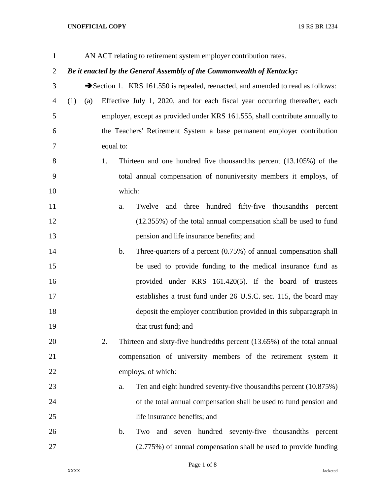## **UNOFFICIAL COPY** 19 RS BR 1234

| $\mathbf{1}$   |            |           |                | AN ACT relating to retirement system employer contribution rates.              |
|----------------|------------|-----------|----------------|--------------------------------------------------------------------------------|
| $\overline{2}$ |            |           |                | Be it enacted by the General Assembly of the Commonwealth of Kentucky:         |
| 3              |            |           |                | Section 1. KRS 161.550 is repealed, reenacted, and amended to read as follows: |
| $\overline{4}$ | (1)<br>(a) |           |                | Effective July 1, 2020, and for each fiscal year occurring thereafter, each    |
| 5              |            |           |                | employer, except as provided under KRS 161.555, shall contribute annually to   |
| 6              |            |           |                | the Teachers' Retirement System a base permanent employer contribution         |
| 7              |            | equal to: |                |                                                                                |
| 8              |            | 1.        |                | Thirteen and one hundred five thousandths percent $(13.105%)$ of the           |
| 9              |            |           |                | total annual compensation of nonuniversity members it employs, of              |
| 10             |            |           | which:         |                                                                                |
| 11             |            |           | a.             | Twelve and three hundred fifty-five thousandths percent                        |
| 12             |            |           |                | (12.355%) of the total annual compensation shall be used to fund               |
| 13             |            |           |                | pension and life insurance benefits; and                                       |
| 14             |            |           | $\mathbf{b}$ . | Three-quarters of a percent $(0.75%)$ of annual compensation shall             |
| 15             |            |           |                | be used to provide funding to the medical insurance fund as                    |
| 16             |            |           |                | provided under KRS 161.420(5). If the board of trustees                        |
| 17             |            |           |                | establishes a trust fund under 26 U.S.C. sec. 115, the board may               |
| 18             |            |           |                | deposit the employer contribution provided in this subparagraph in             |
| 19             |            |           |                | that trust fund; and                                                           |
| 20             |            | 2.        |                | Thirteen and sixty-five hundredths percent (13.65%) of the total annual        |
| 21             |            |           |                | compensation of university members of the retirement system it                 |
| 22             |            |           |                | employs, of which:                                                             |
| 23             |            |           | a.             | Ten and eight hundred seventy-five thousandths percent (10.875%)               |
| 24             |            |           |                | of the total annual compensation shall be used to fund pension and             |
| 25             |            |           |                | life insurance benefits; and                                                   |
| 26             |            |           | b.             | and seven hundred seventy-five thousandths percent<br>Two                      |
| 27             |            |           |                | (2.775%) of annual compensation shall be used to provide funding               |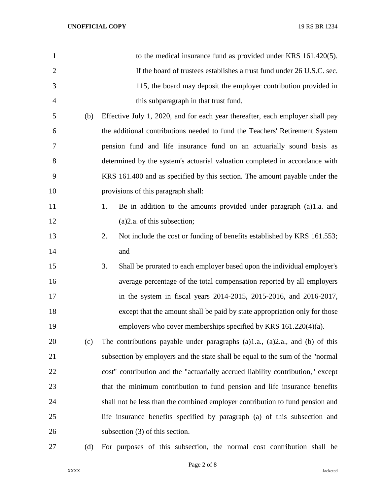| $\mathbf{1}$   |     | to the medical insurance fund as provided under KRS 161.420(5).                 |
|----------------|-----|---------------------------------------------------------------------------------|
| $\overline{2}$ |     | If the board of trustees establishes a trust fund under 26 U.S.C. sec.          |
| 3              |     | 115, the board may deposit the employer contribution provided in                |
| $\overline{4}$ |     | this subparagraph in that trust fund.                                           |
| 5              | (b) | Effective July 1, 2020, and for each year thereafter, each employer shall pay   |
| 6              |     | the additional contributions needed to fund the Teachers' Retirement System     |
| 7              |     | pension fund and life insurance fund on an actuarially sound basis as           |
| 8              |     | determined by the system's actuarial valuation completed in accordance with     |
| 9              |     | KRS 161.400 and as specified by this section. The amount payable under the      |
| 10             |     | provisions of this paragraph shall:                                             |
| 11             |     | Be in addition to the amounts provided under paragraph (a)1.a. and<br>1.        |
| 12             |     | $(a)$ 2.a. of this subsection;                                                  |
| 13             |     | 2.<br>Not include the cost or funding of benefits established by KRS 161.553;   |
| 14             |     | and                                                                             |
| 15             |     | Shall be prorated to each employer based upon the individual employer's<br>3.   |
| 16             |     | average percentage of the total compensation reported by all employers          |
| 17             |     | in the system in fiscal years 2014-2015, 2015-2016, and 2016-2017,              |
| 18             |     | except that the amount shall be paid by state appropriation only for those      |
| 19             |     | employers who cover memberships specified by KRS $161.220(4)(a)$ .              |
| 20             | (c) | The contributions payable under paragraphs $(a)1.a., (a)2.a., and (b)$ of this  |
| 21             |     | subsection by employers and the state shall be equal to the sum of the "normal" |
| 22             |     | cost" contribution and the "actuarially accrued liability contribution," except |
| 23             |     | that the minimum contribution to fund pension and life insurance benefits       |
| 24             |     | shall not be less than the combined employer contribution to fund pension and   |
| 25             |     | life insurance benefits specified by paragraph (a) of this subsection and       |
| 26             |     | subsection $(3)$ of this section.                                               |
|                |     |                                                                                 |

(d) For purposes of this subsection, the normal cost contribution shall be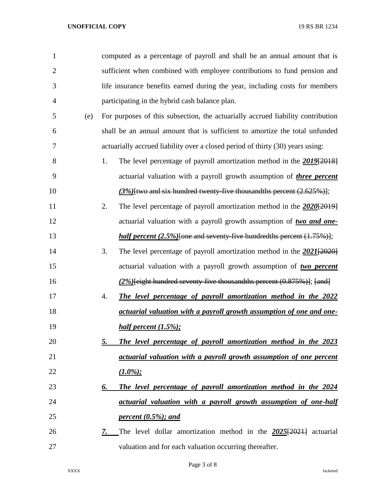| $\mathbf{1}$   |     | computed as a percentage of payroll and shall be an annual amount that is            |
|----------------|-----|--------------------------------------------------------------------------------------|
| $\overline{2}$ |     | sufficient when combined with employee contributions to fund pension and             |
| 3              |     | life insurance benefits earned during the year, including costs for members          |
| $\overline{4}$ |     | participating in the hybrid cash balance plan.                                       |
| 5              | (e) | For purposes of this subsection, the actuarially accrued liability contribution      |
| 6              |     | shall be an annual amount that is sufficient to amortize the total unfunded          |
| 7              |     | actuarially accrued liability over a closed period of thirty (30) years using:       |
| 8              |     | 1.<br>The level percentage of payroll amortization method in the 2019-12018-         |
| 9              |     | actuarial valuation with a payroll growth assumption of <i>three percent</i>         |
| 10             |     | $(3\%)$ [two and six hundred twenty-five thous and the percent $(2.625\%)$ ];        |
| 11             |     | 2.<br>The level percentage of payroll amortization method in the $2020\{2019\}$      |
| 12             |     | actuarial valuation with a payroll growth assumption of two and one-                 |
| 13             |     | <i>half percent</i> $(2.5\%)$ [one and seventy-five hundredths percent $(1.75\%)$ ]; |
| 14             |     | The level percentage of payroll amortization method in the $2021[2020]$<br>3.        |
| 15             |     | actuarial valuation with a payroll growth assumption of two percent                  |
| 16             |     | $(2\%)$ [eight hundred seventy-five thousand ths percent $(0.875\%)$ ]; [and]        |
| 17             |     | The level percentage of payroll amortization method in the 2022<br>4.                |
| 18             |     | actuarial valuation with a payroll growth assumption of one and one-                 |
| 19             |     | half percent $(1.5\%);$                                                              |
| 20             |     | The level percentage of payroll amortization method in the 2023<br>5.                |
| 21             |     | actuarial valuation with a payroll growth assumption of one percent                  |
| 22             |     | $(1.0\%);$                                                                           |
| 23             |     | The level percentage of payroll amortization method in the 2024<br>6.                |
| 24             |     | actuarial valuation with a payroll growth assumption of one-half                     |
| 25             |     | percent $(0.5\%)$ ; and                                                              |
| 26             |     | The level dollar amortization method in the 2025[2021] actuarial<br>7.               |
| 27             |     | valuation and for each valuation occurring thereafter.                               |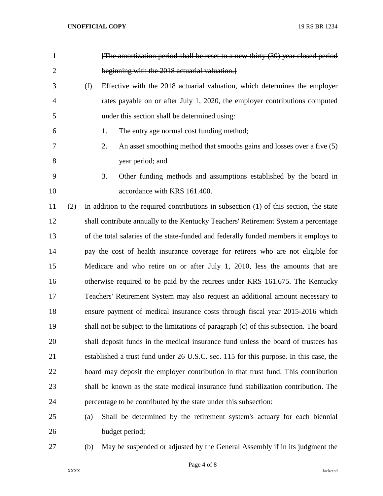| $\mathbf{1}$   |     |     |    | [The amortization period shall be reset to a new thirty (30) year closed period          |
|----------------|-----|-----|----|------------------------------------------------------------------------------------------|
| $\overline{2}$ |     |     |    | beginning with the 2018 actuarial valuation.                                             |
| 3              |     | (f) |    | Effective with the 2018 actuarial valuation, which determines the employer               |
| 4              |     |     |    | rates payable on or after July 1, 2020, the employer contributions computed              |
| 5              |     |     |    | under this section shall be determined using:                                            |
| 6              |     |     | 1. | The entry age normal cost funding method;                                                |
| 7              |     |     | 2. | An asset smoothing method that smooths gains and losses over a five (5)                  |
| 8              |     |     |    | year period; and                                                                         |
| 9              |     |     | 3. | Other funding methods and assumptions established by the board in                        |
| 10             |     |     |    | accordance with KRS 161.400.                                                             |
| 11             | (2) |     |    | In addition to the required contributions in subsection $(1)$ of this section, the state |
| 12             |     |     |    | shall contribute annually to the Kentucky Teachers' Retirement System a percentage       |
| 13             |     |     |    | of the total salaries of the state-funded and federally funded members it employs to     |
| 14             |     |     |    | pay the cost of health insurance coverage for retirees who are not eligible for          |
| 15             |     |     |    | Medicare and who retire on or after July 1, 2010, less the amounts that are              |
| 16             |     |     |    | otherwise required to be paid by the retirees under KRS 161.675. The Kentucky            |
| 17             |     |     |    | Teachers' Retirement System may also request an additional amount necessary to           |
| 18             |     |     |    | ensure payment of medical insurance costs through fiscal year 2015-2016 which            |
| 19             |     |     |    | shall not be subject to the limitations of paragraph (c) of this subsection. The board   |
| 20             |     |     |    | shall deposit funds in the medical insurance fund unless the board of trustees has       |
| 21             |     |     |    | established a trust fund under 26 U.S.C. sec. 115 for this purpose. In this case, the    |
| 22             |     |     |    | board may deposit the employer contribution in that trust fund. This contribution        |
| 23             |     |     |    | shall be known as the state medical insurance fund stabilization contribution. The       |
| 24             |     |     |    | percentage to be contributed by the state under this subsection:                         |
| 25             |     | (a) |    | Shall be determined by the retirement system's actuary for each biennial                 |
| 26             |     |     |    | budget period;                                                                           |
|                |     |     |    |                                                                                          |

(b) May be suspended or adjusted by the General Assembly if in its judgment the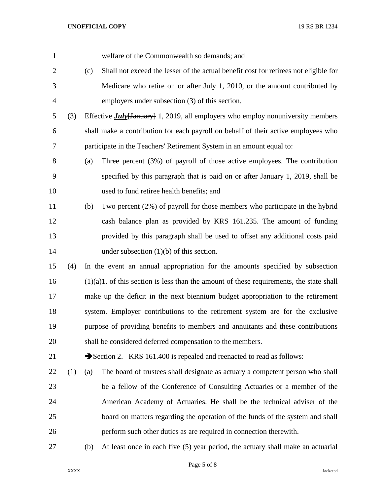| $\mathbf{1}$   |     |                                                                                 | welfare of the Commonwealth so demands; and                                                |  |
|----------------|-----|---------------------------------------------------------------------------------|--------------------------------------------------------------------------------------------|--|
| $\overline{2}$ |     | (c)                                                                             | Shall not exceed the lesser of the actual benefit cost for retirees not eligible for       |  |
| 3              |     |                                                                                 | Medicare who retire on or after July 1, 2010, or the amount contributed by                 |  |
| $\overline{4}$ |     |                                                                                 | employers under subsection (3) of this section.                                            |  |
| 5              | (3) |                                                                                 | Effective $\frac{July[January]}{1, 2019, all employers who employ nonuniversity members$   |  |
| 6              |     |                                                                                 | shall make a contribution for each payroll on behalf of their active employees who         |  |
| 7              |     |                                                                                 | participate in the Teachers' Retirement System in an amount equal to:                      |  |
| 8              |     | (a)                                                                             | Three percent $(3%)$ of payroll of those active employees. The contribution                |  |
| 9              |     |                                                                                 | specified by this paragraph that is paid on or after January 1, 2019, shall be             |  |
| 10             |     |                                                                                 | used to fund retiree health benefits; and                                                  |  |
| 11             |     | (b)                                                                             | Two percent (2%) of payroll for those members who participate in the hybrid                |  |
| 12             |     |                                                                                 | cash balance plan as provided by KRS 161.235. The amount of funding                        |  |
| 13             |     |                                                                                 | provided by this paragraph shall be used to offset any additional costs paid               |  |
| 14             |     |                                                                                 | under subsection $(1)(b)$ of this section.                                                 |  |
| 15             | (4) |                                                                                 | In the event an annual appropriation for the amounts specified by subsection               |  |
| 16             |     |                                                                                 | $(1)(a)1$ . of this section is less than the amount of these requirements, the state shall |  |
| 17             |     |                                                                                 | make up the deficit in the next biennium budget appropriation to the retirement            |  |
| 18             |     | system. Employer contributions to the retirement system are for the exclusive   |                                                                                            |  |
| 19             |     | purpose of providing benefits to members and annuitants and these contributions |                                                                                            |  |
| 20             |     |                                                                                 | shall be considered deferred compensation to the members.                                  |  |
| 21             |     |                                                                                 | Section 2. KRS 161.400 is repealed and reenacted to read as follows:                       |  |
| 22             | (1) | (a)                                                                             | The board of trustees shall designate as actuary a competent person who shall              |  |
| 23             |     |                                                                                 | be a fellow of the Conference of Consulting Actuaries or a member of the                   |  |
| 24             |     |                                                                                 | American Academy of Actuaries. He shall be the technical adviser of the                    |  |
| 25             |     |                                                                                 | board on matters regarding the operation of the funds of the system and shall              |  |
| 26             |     |                                                                                 | perform such other duties as are required in connection therewith.                         |  |
| 27             |     | (b)                                                                             | At least once in each five (5) year period, the actuary shall make an actuarial            |  |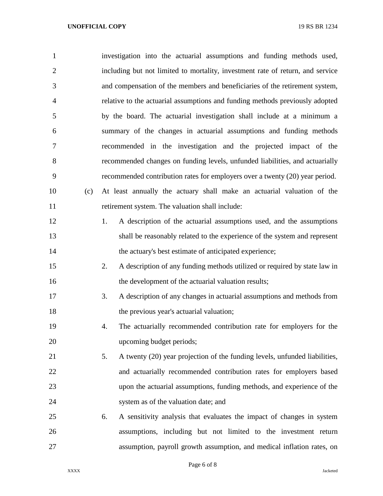## **UNOFFICIAL COPY** 19 RS BR 1234

| $\mathbf{1}$   | investigation into the actuarial assumptions and funding methods used,           |
|----------------|----------------------------------------------------------------------------------|
| $\overline{2}$ | including but not limited to mortality, investment rate of return, and service   |
| 3              | and compensation of the members and beneficiaries of the retirement system,      |
| $\overline{4}$ | relative to the actuarial assumptions and funding methods previously adopted     |
| 5              | by the board. The actuarial investigation shall include at a minimum a           |
| 6              | summary of the changes in actuarial assumptions and funding methods              |
| 7              | recommended in the investigation and the projected impact of the                 |
| 8              | recommended changes on funding levels, unfunded liabilities, and actuarially     |
| 9              | recommended contribution rates for employers over a twenty (20) year period.     |
| 10<br>(c)      | At least annually the actuary shall make an actuarial valuation of the           |
| 11             | retirement system. The valuation shall include:                                  |
| 12             | A description of the actuarial assumptions used, and the assumptions<br>1.       |
| 13             | shall be reasonably related to the experience of the system and represent        |
| 14             | the actuary's best estimate of anticipated experience;                           |
| 15             | 2.<br>A description of any funding methods utilized or required by state law in  |
| 16             | the development of the actuarial valuation results;                              |
| 17             | 3.<br>A description of any changes in actuarial assumptions and methods from     |
| 18             | the previous year's actuarial valuation;                                         |
| 19             | The actuarially recommended contribution rate for employers for the<br>4.        |
| 20             | upcoming budget periods;                                                         |
| 21             | 5.<br>A twenty (20) year projection of the funding levels, unfunded liabilities, |
| 22             | and actuarially recommended contribution rates for employers based               |
| 23             | upon the actuarial assumptions, funding methods, and experience of the           |
| 24             | system as of the valuation date; and                                             |
| 25             | A sensitivity analysis that evaluates the impact of changes in system<br>6.      |
| 26             | assumptions, including but not limited to the investment return                  |
| 27             | assumption, payroll growth assumption, and medical inflation rates, on           |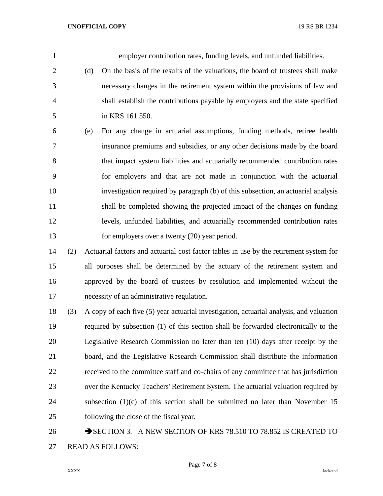employer contribution rates, funding levels, and unfunded liabilities. (d) On the basis of the results of the valuations, the board of trustees shall make necessary changes in the retirement system within the provisions of law and shall establish the contributions payable by employers and the state specified in KRS 161.550. (e) For any change in actuarial assumptions, funding methods, retiree health insurance premiums and subsidies, or any other decisions made by the board that impact system liabilities and actuarially recommended contribution rates for employers and that are not made in conjunction with the actuarial investigation required by paragraph (b) of this subsection, an actuarial analysis shall be completed showing the projected impact of the changes on funding levels, unfunded liabilities, and actuarially recommended contribution rates for employers over a twenty (20) year period.

 (2) Actuarial factors and actuarial cost factor tables in use by the retirement system for all purposes shall be determined by the actuary of the retirement system and approved by the board of trustees by resolution and implemented without the necessity of an administrative regulation.

 (3) A copy of each five (5) year actuarial investigation, actuarial analysis, and valuation required by subsection (1) of this section shall be forwarded electronically to the Legislative Research Commission no later than ten (10) days after receipt by the board, and the Legislative Research Commission shall distribute the information received to the committee staff and co-chairs of any committee that has jurisdiction over the Kentucky Teachers' Retirement System. The actuarial valuation required by 24 subsection (1)(c) of this section shall be submitted no later than November 15 following the close of the fiscal year.

26 SECTION 3. A NEW SECTION OF KRS 78.510 TO 78.852 IS CREATED TO READ AS FOLLOWS: